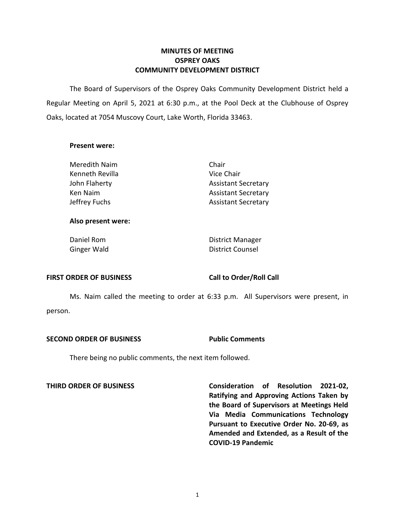# **MINUTES OF MEETING OSPREY OAKS COMMUNITY DEVELOPMENT DISTRICT**

 The Board of Supervisors of the Osprey Oaks Community Development District held a Regular Meeting on April 5, 2021 at 6:30 p.m., at the Pool Deck at the Clubhouse of Osprey Oaks, located at 7054 Muscovy Court, Lake Worth, Florida 33463.

## **Present were:**

| Meredith Naim   | Chair                      |
|-----------------|----------------------------|
| Kenneth Revilla | Vice Chair                 |
| John Flaherty   | <b>Assistant Secretary</b> |
| Ken Naim        | <b>Assistant Secretary</b> |
| Jeffrey Fuchs   | <b>Assistant Secretary</b> |
|                 |                            |

### **Also present were:**

Daniel Rom **District Manager** Ginger Wald **District Counsel** 

## FIRST ORDER OF BUSINESS Call to Order/Roll Call

 Ms. Naim called the meeting to order at 6:33 p.m. All Supervisors were present, in person.

## **SECOND ORDER OF BUSINESS Public Comments**

There being no public comments, the next item followed.

 **THIRD ORDER OF BUSINESS Consideration of Resolution 2021-02, Ratifying and Approving Actions Taken by the Board of Supervisors at Meetings Held Via Media Communications Technology Pursuant to Executive Order No. 20-69, as Amended and Extended, as a Result of the COVID-19 Pandemic**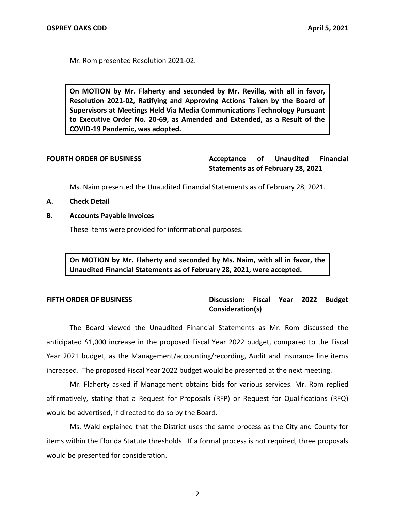Mr. Rom presented Resolution 2021-02.

 **On MOTION by Mr. Flaherty and seconded by Mr. Revilla, with all in favor, Resolution 2021-02, Ratifying and Approving Actions Taken by the Board of Supervisors at Meetings Held Via Media Communications Technology Pursuant to Executive Order No. 20-69, as Amended and Extended, as a Result of the COVID-19 Pandemic, was adopted.** 

**Unaudited** FOURTH ORDER OF BUSINESS **Acceptance** of Unaudited Financial **Statements as of February 28, 2021** 

Ms. Naim presented the Unaudited Financial Statements as of February 28, 2021.

- **A. Check Detail**
- **B. Accounts Payable Invoices**

These items were provided for informational purposes.

 **On MOTION by Mr. Flaherty and seconded by Ms. Naim, with all in favor, the Unaudited Financial Statements as of February 28, 2021, were accepted.** 

# **FIFTH ORDER OF BUSINESS** Discussion: Fiscal Year 2022 Budget **Consideration(s)**

 The Board viewed the Unaudited Financial Statements as Mr. Rom discussed the Year 2021 budget, as the Management/accounting/recording, Audit and Insurance line items increased. The proposed Fiscal Year 2022 budget would be presented at the next meeting. anticipated \$1,000 increase in the proposed Fiscal Year 2022 budget, compared to the Fiscal

 Mr. Flaherty asked if Management obtains bids for various services. Mr. Rom replied would be advertised, if directed to do so by the Board. affirmatively, stating that a Request for Proposals (RFP) or Request for Qualifications (RFQ)

 Ms. Wald explained that the District uses the same process as the City and County for items within the Florida Statute thresholds. If a formal process is not required, three proposals would be presented for consideration.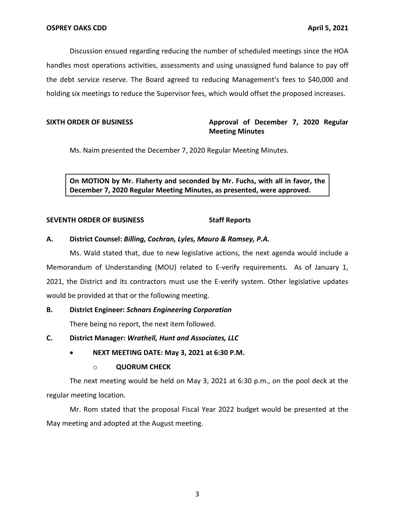Discussion ensued regarding reducing the number of scheduled meetings since the HOA handles most operations activities, assessments and using unassigned fund balance to pay off the debt service reserve. The Board agreed to reducing Management's fees to \$40,000 and holding six meetings to reduce the Supervisor fees, which would offset the proposed increases.

# SIXTH ORDER OF BUSINESS **Approval of December 7, 2020 Regular Meeting Minutes**

Ms. Naim presented the December 7, 2020 Regular Meeting Minutes.

 **On MOTION by Mr. Flaherty and seconded by Mr. Fuchs, with all in favor, the December 7, 2020 Regular Meeting Minutes, as presented, were approved.** 

## **SEVENTH ORDER OF BUSINESS** Staff Reports

# **A. District Counsel:** *Billing, Cochran, Lyles, Mauro & Ramsey, P.A.*

 Ms. Wald stated that, due to new legislative actions, the next agenda would include a Memorandum of Understanding (MOU) related to E-verify requirements. As of January 1, 2021, the District and its contractors must use the E-verify system. Other legislative updates would be provided at that or the following meeting.

# **B. District Engineer:** *Schnars Engineering Corporation*

There being no report, the next item followed.

- **C. District Manager:** *Wrathell, Hunt and Associates, LLC* 
	- **NEXT MEETING DATE: May 3, 2021 at 6:30 P.M.**

## o **QUORUM CHECK**

 The next meeting would be held on May 3, 2021 at 6:30 p.m., on the pool deck at the regular meeting location.

 Mr. Rom stated that the proposal Fiscal Year 2022 budget would be presented at the May meeting and adopted at the August meeting.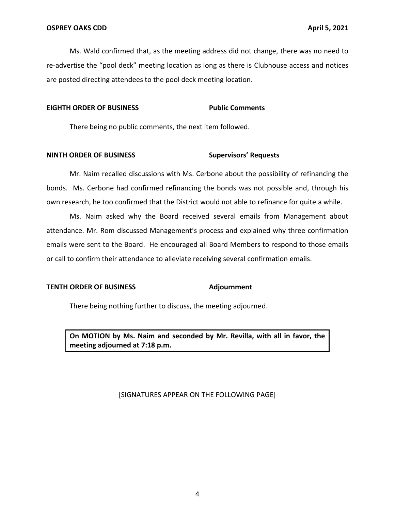Ms. Wald confirmed that, as the meeting address did not change, there was no need to re-advertise the "pool deck" meeting location as long as there is Clubhouse access and notices are posted directing attendees to the pool deck meeting location.

### **EIGHTH ORDER OF BUSINESS Public Comments**

There being no public comments, the next item followed.

### **NINTH ORDER OF BUSINESS Supervisors' Requests**

 Mr. Naim recalled discussions with Ms. Cerbone about the possibility of refinancing the bonds. Ms. Cerbone had confirmed refinancing the bonds was not possible and, through his own research, he too confirmed that the District would not able to refinance for quite a while.

 Ms. Naim asked why the Board received several emails from Management about attendance. Mr. Rom discussed Management's process and explained why three confirmation or call to confirm their attendance to alleviate receiving several confirmation emails. emails were sent to the Board. He encouraged all Board Members to respond to those emails

### **TENTH ORDER OF BUSINESS Adjournment**

There being nothing further to discuss, the meeting adjourned.

 **On MOTION by Ms. Naim and seconded by Mr. Revilla, with all in favor, the meeting adjourned at 7:18 p.m.** 

## [SIGNATURES APPEAR ON THE FOLLOWING PAGE]